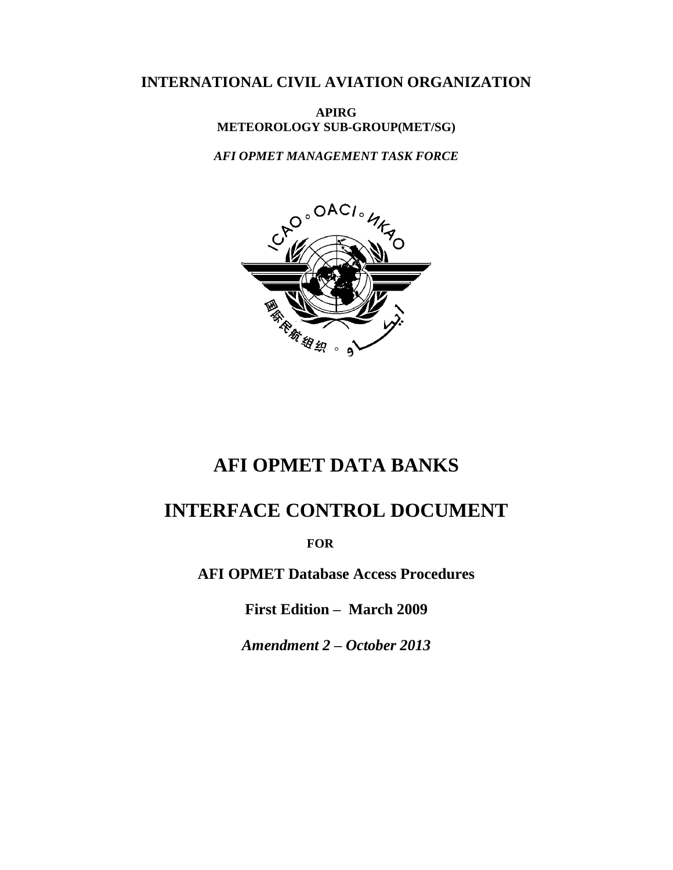# **INTERNATIONAL CIVIL AVIATION ORGANIZATION**

**APIRG METEOROLOGY SUB-GROUP(MET/SG)**

*AFI OPMET MANAGEMENT TASK FORCE*



# **AFI OPMET DATA BANKS**

# **INTERFACE CONTROL DOCUMENT**

 **FOR**

**AFI OPMET Database Access Procedures**

**First Edition – March 2009**

*Amendment 2 – October 2013*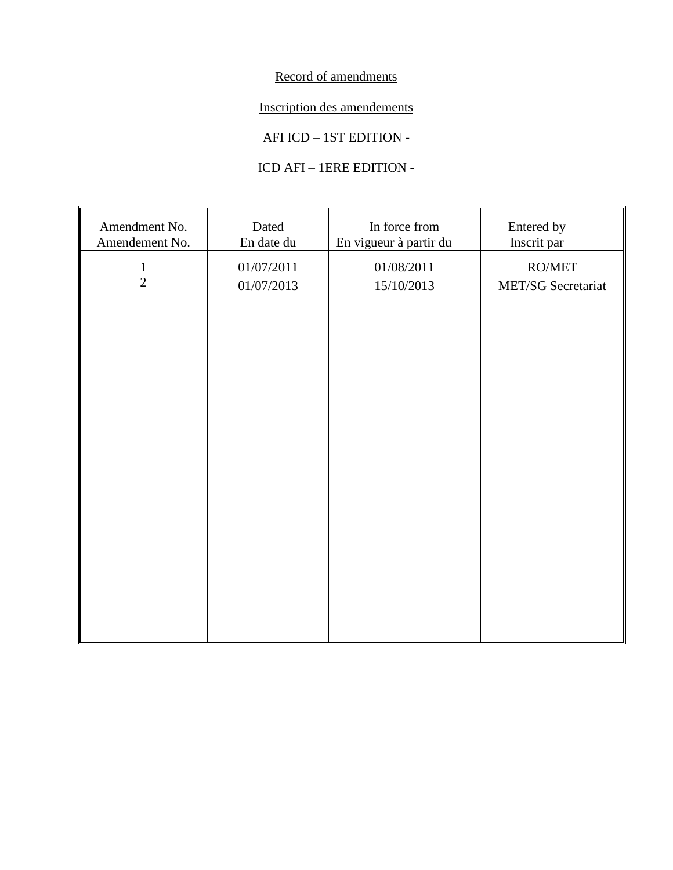Record of amendments

Inscription des amendements

AFI ICD – 1ST EDITION -

# ICD AFI – 1ERE EDITION -

| Amendment No.<br>Amendement No. | Dated<br>En date du      | In force from<br>En vigueur à partir du | Entered by<br>Inscrit par           |
|---------------------------------|--------------------------|-----------------------------------------|-------------------------------------|
| $\,1\,$<br>$\overline{2}$       | 01/07/2011<br>01/07/2013 | 01/08/2011<br>15/10/2013                | $\rm{RO/MET}$<br>MET/SG Secretariat |
|                                 |                          |                                         |                                     |
|                                 |                          |                                         |                                     |
|                                 |                          |                                         |                                     |
|                                 |                          |                                         |                                     |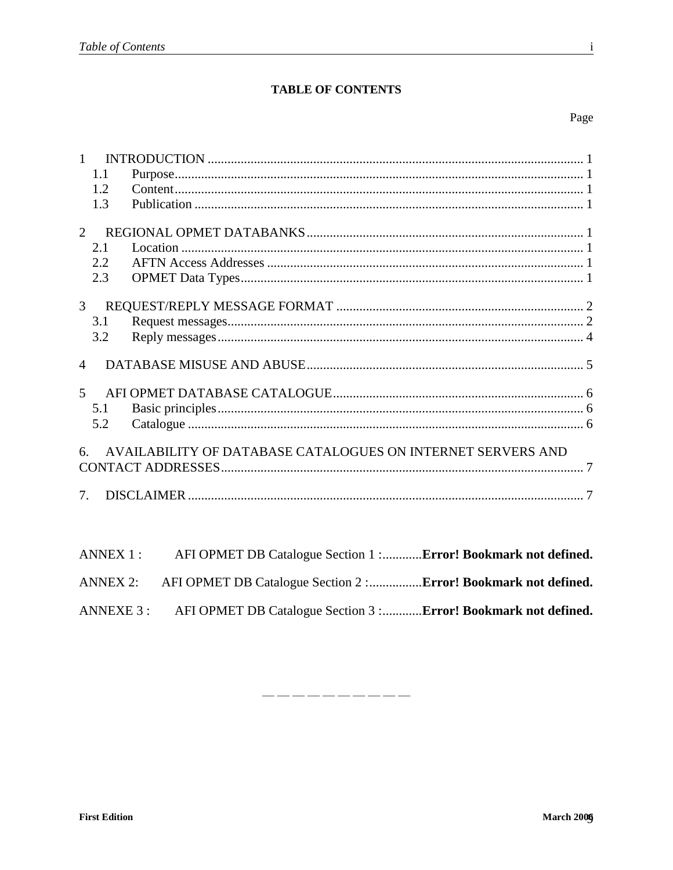# **TABLE OF CONTENTS**

# Page

| $\mathbf{1}$<br>1.1<br>1.2<br>1.3                                                 |
|-----------------------------------------------------------------------------------|
| $\overline{2}$<br>2.1<br>2.2<br>2.3                                               |
| $\overline{3}$<br>3.1<br>3.2                                                      |
| $\overline{4}$                                                                    |
| $\mathfrak{H}$<br>5.1<br>5.2                                                      |
| AVAILABILITY OF DATABASE CATALOGUES ON INTERNET SERVERS AND<br>6.                 |
| 7 <sup>7</sup>                                                                    |
| ANNEX 1:<br>AFI OPMET DB Catalogue Section 1 :Error! Bookmark not defined.        |
| AFI OPMET DB Catalogue Section 2 :Error! Bookmark not defined.<br><b>ANNEX 2:</b> |

ANNEXE 3 : AFI OPMET DB Catalogue Section 3 :............Error! Bookmark not defined.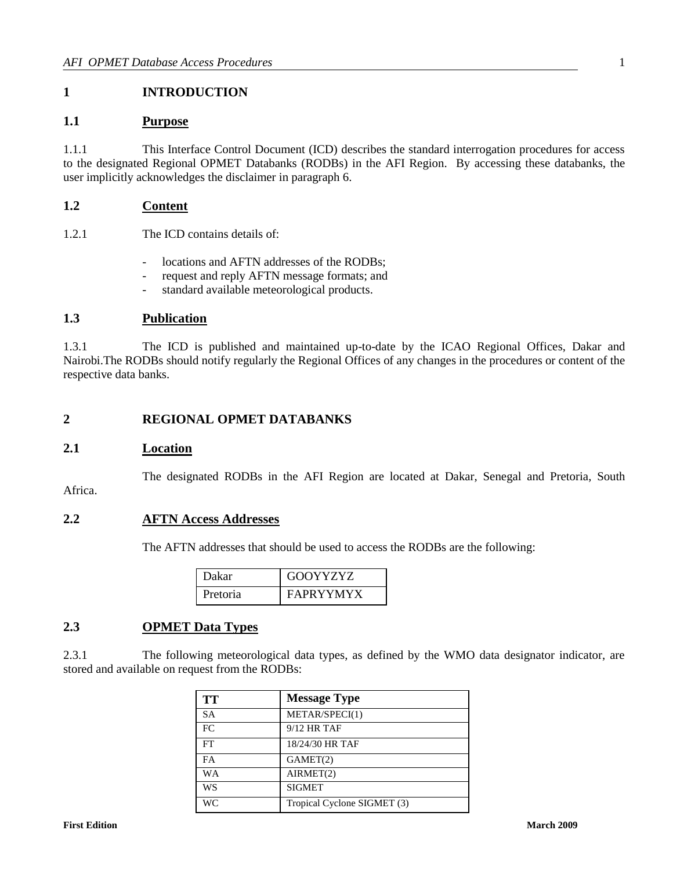# <span id="page-4-0"></span>**1 INTRODUCTION**

## <span id="page-4-1"></span>**1.1 Purpose**

1.1.1 This Interface Control Document (ICD) describes the standard interrogation procedures for access to the designated Regional OPMET Databanks (RODBs) in the AFI Region. By accessing these databanks, the user implicitly acknowledges the disclaimer in paragraph 6.

# <span id="page-4-2"></span>**1.2 Content**

1.2.1 The ICD contains details of:

- locations and AFTN addresses of the RODBs;
- request and reply AFTN message formats; and
- standard available meteorological products.

#### <span id="page-4-3"></span>**1.3 Publication**

1.3.1 The ICD is published and maintained up-to-date by the ICAO Regional Offices, Dakar and Nairobi.The RODBs should notify regularly the Regional Offices of any changes in the procedures or content of the respective data banks.

## <span id="page-4-4"></span>**2 REGIONAL OPMET DATABANKS**

#### <span id="page-4-5"></span>**2.1 Location**

The designated RODBs in the AFI Region are located at Dakar, Senegal and Pretoria, South

Africa.

#### <span id="page-4-6"></span>**2.2 AFTN Access Addresses**

The AFTN addresses that should be used to access the RODBs are the following:

| Dakar    | <b>GOOYYZYZ</b> |
|----------|-----------------|
| Pretoria | FAPRYYMYX       |

# <span id="page-4-7"></span>**2.3 OPMET Data Types**

2.3.1 The following meteorological data types, as defined by the WMO data designator indicator, are stored and available on request from the RODBs:

| <b>TT</b> | <b>Message Type</b>         |
|-----------|-----------------------------|
| SA        | METAR/SPECI(1)              |
| FC        | $9/12$ HR TAF               |
| FT        | 18/24/30 HR TAF             |
| FA        | GAMET(2)                    |
| WА        | AIRMET(2)                   |
| WS        | <b>SIGMET</b>               |
| WС        | Tropical Cyclone SIGMET (3) |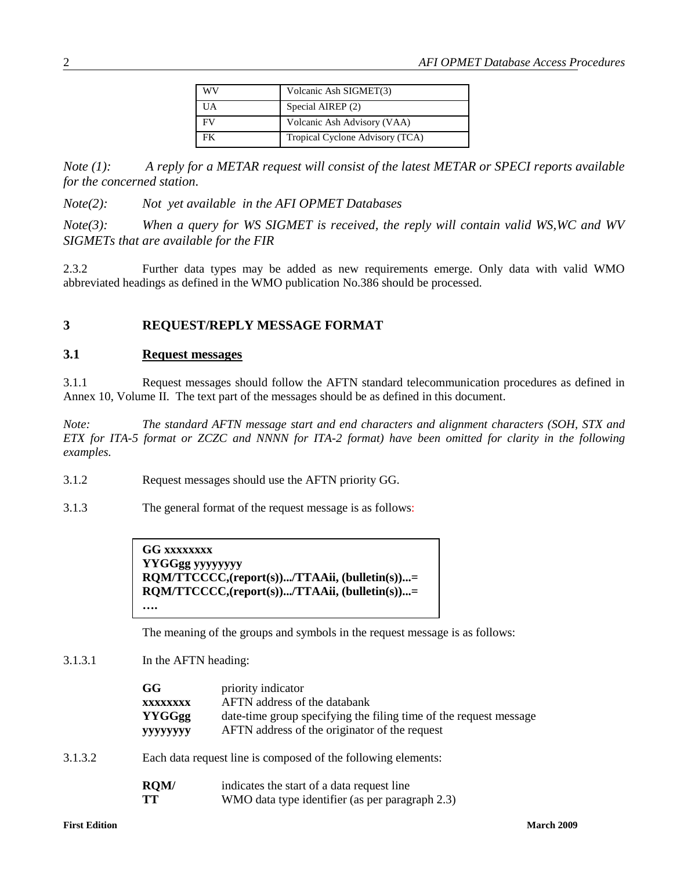| WV | Volcanic Ash SIGMET(3)          |  |
|----|---------------------------------|--|
| UA | Special AIREP (2)               |  |
| FV | Volcanic Ash Advisory (VAA)     |  |
| FK | Tropical Cyclone Advisory (TCA) |  |

*Note (1): A reply for a METAR request will consist of the latest METAR or SPECI reports available for the concerned station.*

*Note(2): Not yet available in the AFI OPMET Databases*

*Note(3): When a query for WS SIGMET is received, the reply will contain valid WS,WC and WV SIGMETs that are available for the FIR* 

2.3.2 Further data types may be added as new requirements emerge. Only data with valid WMO abbreviated headings as defined in the WMO publication No.386 should be processed.

#### <span id="page-5-0"></span>**3 REQUEST/REPLY MESSAGE FORMAT**

#### <span id="page-5-1"></span>**3.1 Request messages**

3.1.1 Request messages should follow the AFTN standard telecommunication procedures as defined in Annex 10, Volume II. The text part of the messages should be as defined in this document.

*Note: The standard AFTN message start and end characters and alignment characters (SOH, STX and ETX for ITA-5 format or ZCZC and NNNN for ITA-2 format) have been omitted for clarity in the following examples.* 

- 3.1.2 Request messages should use the AFTN priority GG.
- 3.1.3 The general format of the request message is as follows:

**GG xxxxxxxx YYGGgg yyyyyyyy RQM/TTCCCC,(report(s)).../TTAAii, (bulletin(s))...= RQM/TTCCCC,(report(s)).../TTAAii, (bulletin(s))...= ….**

The meaning of the groups and symbols in the request message is as follows:

## 3.1.3.1 In the AFTN heading:

| GG                                                                                           | priority indicator                                                |  |
|----------------------------------------------------------------------------------------------|-------------------------------------------------------------------|--|
| <b>XXXXXXXX</b>                                                                              | AFTN address of the databank                                      |  |
| <b>YYGGgg</b>                                                                                | date-time group specifying the filing time of the request message |  |
| <b>YYYYYYYY</b>                                                                              | AFTN address of the originator of the request                     |  |
| $\Box$ . In the common that the common to the control of $\Lambda$ . $\Lambda$ and $\Lambda$ |                                                                   |  |

3.1.3.2 Each data request line is composed of the following elements:

| RQM/ | indicates the start of a data request line      |
|------|-------------------------------------------------|
| TT   | WMO data type identifier (as per paragraph 2.3) |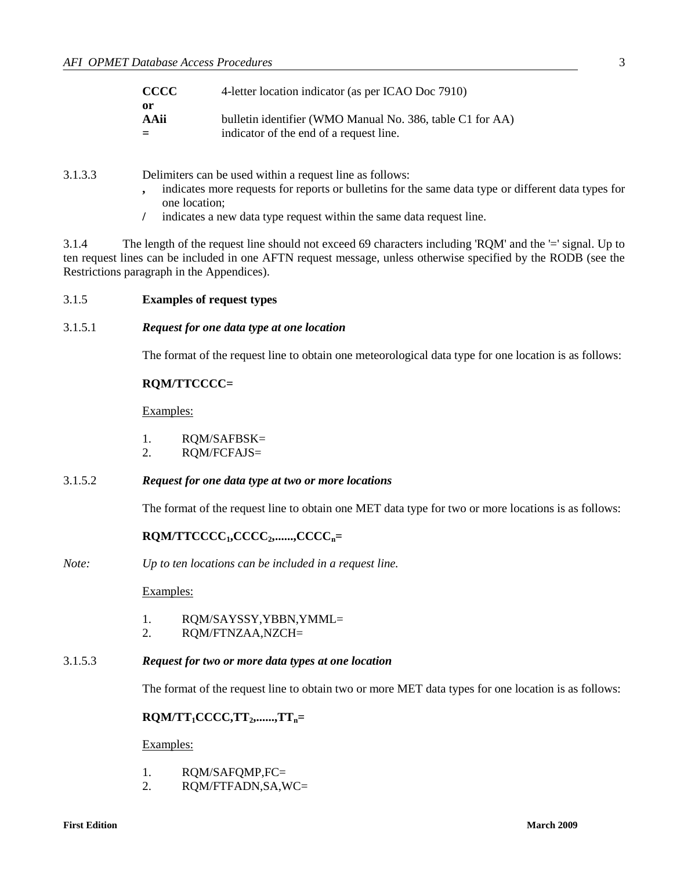| <b>CCCC</b> | 4-letter location indicator (as per ICAO Doc 7910)        |
|-------------|-----------------------------------------------------------|
| -or         |                                                           |
| AAii        | bulletin identifier (WMO Manual No. 386, table C1 for AA) |
| $=$         | indicator of the end of a request line.                   |

3.1.3.3 Delimiters can be used within a request line as follows:

- **,** indicates more requests for reports or bulletins for the same data type or different data types for one location;
- **/** indicates a new data type request within the same data request line.

3.1.4 The length of the request line should not exceed 69 characters including 'RQM' and the '=' signal. Up to ten request lines can be included in one AFTN request message, unless otherwise specified by the RODB (see the Restrictions paragraph in the Appendices).

#### 3.1.5 **Examples of request types**

3.1.5.1 *Request for one data type at one location*

The format of the request line to obtain one meteorological data type for one location is as follows:

#### **RQM/TTCCCC=**

Examples:

- 1. RQM/SAFBSK=
- 2. RQM/FCFAJS=
- 3.1.5.2 *Request for one data type at two or more locations*

The format of the request line to obtain one MET data type for two or more locations is as follows:

#### **RQM/TTCCCC1,CCCC2,......,CCCCn=**

*Note: Up to ten locations can be included in a request line.*

Examples:

- 1. RQM/SAYSSY,YBBN,YMML=
- 2. RQM/FTNZAA,NZCH=

#### 3.1.5.3 *Request for two or more data types at one location*

The format of the request line to obtain two or more MET data types for one location is as follows:

#### **RQM/TT1CCCC,TT2,......,TTn=**

Examples:

- 1. RQM/SAFQMP,FC=
- 2. RQM/FTFADN,SA,WC=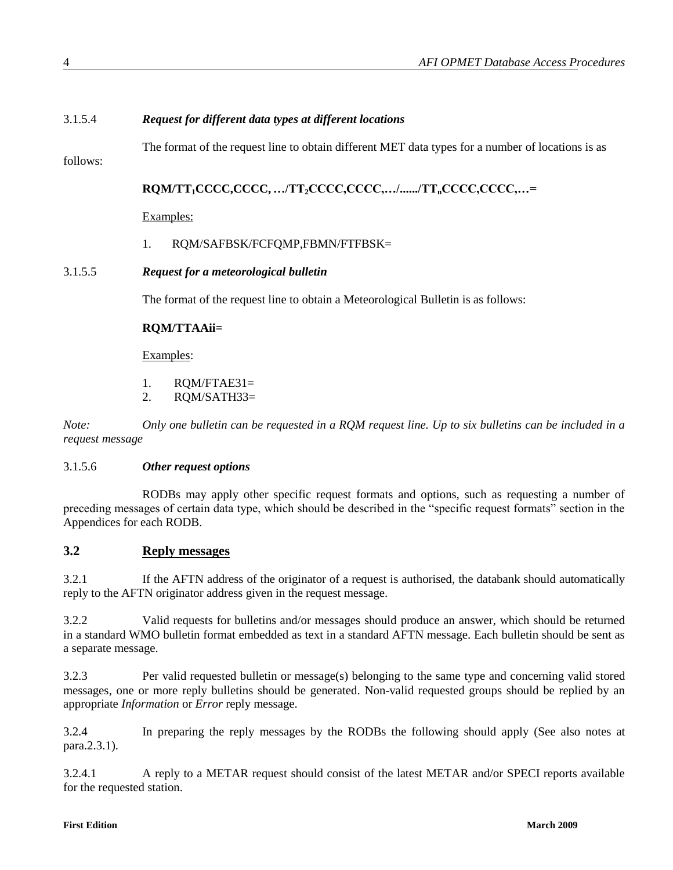# 3.1.5.4 *Request for different data types at different locations*

The format of the request line to obtain different MET data types for a number of locations is as

follows:

**RQM/TT1CCCC,CCCC, …/TT2CCCC,CCCC,…/....../TTnCCCC,CCCC,…=**

Examples:

1. RQM/SAFBSK/FCFQMP,FBMN/FTFBSK=

#### 3.1.5.5 *Request for a meteorological bulletin*

The format of the request line to obtain a Meteorological Bulletin is as follows:

#### **RQM/TTAAii=**

Examples:

- 1. RQM/FTAE31=
- 2. RQM/SATH33=

*Note: Only one bulletin can be requested in a RQM request line. Up to six bulletins can be included in a request message*

#### 3.1.5.6 *Other request options*

RODBs may apply other specific request formats and options, such as requesting a number of preceding messages of certain data type, which should be described in the "specific request formats" section in the Appendices for each RODB.

## <span id="page-7-0"></span>**3.2 Reply messages**

3.2.1 If the AFTN address of the originator of a request is authorised, the databank should automatically reply to the AFTN originator address given in the request message.

3.2.2 Valid requests for bulletins and/or messages should produce an answer, which should be returned in a standard WMO bulletin format embedded as text in a standard AFTN message. Each bulletin should be sent as a separate message.

3.2.3 Per valid requested bulletin or message(s) belonging to the same type and concerning valid stored messages, one or more reply bulletins should be generated. Non-valid requested groups should be replied by an appropriate *Information* or *Error* reply message.

3.2.4 In preparing the reply messages by the RODBs the following should apply (See also notes at para.2.3.1).

3.2.4.1 A reply to a METAR request should consist of the latest METAR and/or SPECI reports available for the requested station.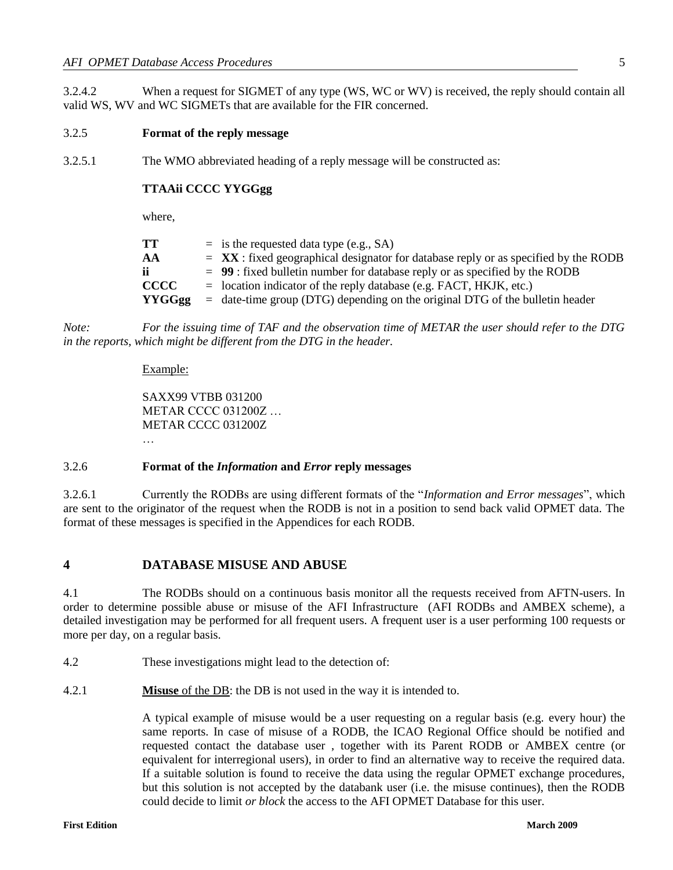3.2.4.2 When a request for SIGMET of any type (WS, WC or WV) is received, the reply should contain all valid WS, WV and WC SIGMETs that are available for the FIR concerned.

#### 3.2.5 **Format of the reply message**

3.2.5.1 The WMO abbreviated heading of a reply message will be constructed as:

#### **TTAAii CCCC YYGGgg**

where,

| TT <sup></sup> | $=$ is the requested data type (e.g., SA)                                                    |
|----------------|----------------------------------------------------------------------------------------------|
| AA             | $=$ <b>XX</b> : fixed geographical designator for database reply or as specified by the RODB |
| ii -           | $= 99$ : fixed bulletin number for database reply or as specified by the RODB                |
| <b>CCCC</b>    | $=$ location indicator of the reply database (e.g. FACT, HKJK, etc.)                         |
| YYGGgg         | $=$ date-time group (DTG) depending on the original DTG of the bulletin header               |

*Note: For the issuing time of TAF and the observation time of METAR the user should refer to the DTG in the reports, which might be different from the DTG in the header.* 

#### Example:

SAXX99 VTBB 031200 METAR CCCC 031200Z … METAR CCCC 031200Z …

#### 3.2.6 **Format of the** *Information* **and** *Error* **reply messages**

3.2.6.1 Currently the RODBs are using different formats of the "*Information and Error messages*", which are sent to the originator of the request when the RODB is not in a position to send back valid OPMET data. The format of these messages is specified in the Appendices for each RODB.

#### <span id="page-8-0"></span>**4 DATABASE MISUSE AND ABUSE**

4.1 The RODBs should on a continuous basis monitor all the requests received from AFTN-users. In order to determine possible abuse or misuse of the AFI Infrastructure (AFI RODBs and AMBEX scheme), a detailed investigation may be performed for all frequent users. A frequent user is a user performing 100 requests or more per day, on a regular basis.

4.2 These investigations might lead to the detection of:

4.2.1 **Misuse** of the DB: the DB is not used in the way it is intended to.

A typical example of misuse would be a user requesting on a regular basis (e.g. every hour) the same reports. In case of misuse of a RODB, the ICAO Regional Office should be notified and requested contact the database user , together with its Parent RODB or AMBEX centre (or equivalent for interregional users), in order to find an alternative way to receive the required data. If a suitable solution is found to receive the data using the regular OPMET exchange procedures, but this solution is not accepted by the databank user (i.e. the misuse continues), then the RODB could decide to limit *or block* the access to the AFI OPMET Database for this user.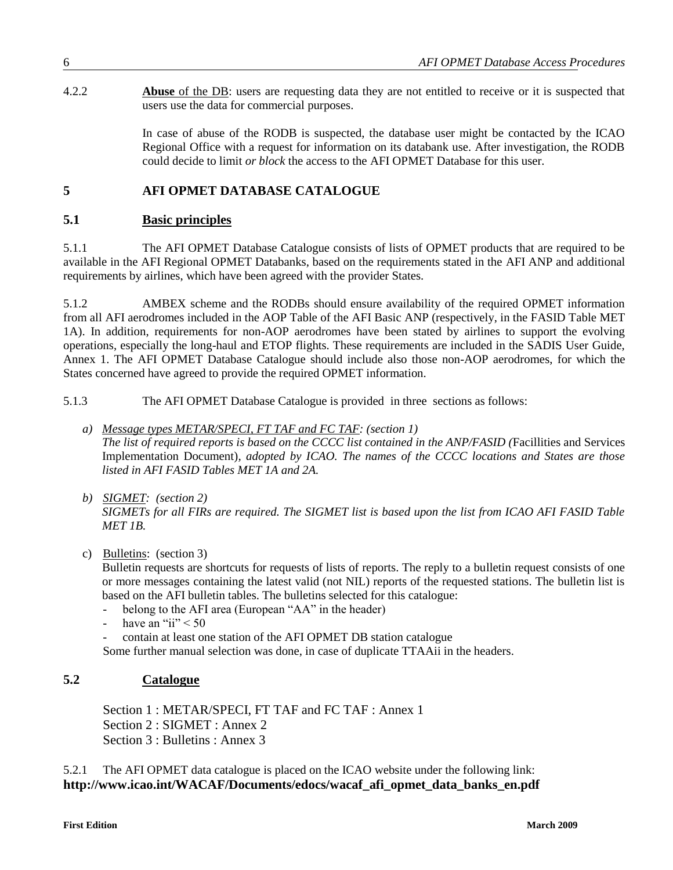4.2.2 **Abuse** of the DB: users are requesting data they are not entitled to receive or it is suspected that users use the data for commercial purposes.

> In case of abuse of the RODB is suspected, the database user might be contacted by the ICAO Regional Office with a request for information on its databank use. After investigation, the RODB could decide to limit *or block* the access to the AFI OPMET Database for this user.

# <span id="page-9-0"></span>**5 AFI OPMET DATABASE CATALOGUE**

# <span id="page-9-1"></span>**5.1 Basic principles**

5.1.1 The AFI OPMET Database Catalogue consists of lists of OPMET products that are required to be available in the AFI Regional OPMET Databanks, based on the requirements stated in the AFI ANP and additional requirements by airlines, which have been agreed with the provider States.

5.1.2 AMBEX scheme and the RODBs should ensure availability of the required OPMET information from all AFI aerodromes included in the AOP Table of the AFI Basic ANP (respectively, in the FASID Table MET 1A). In addition, requirements for non-AOP aerodromes have been stated by airlines to support the evolving operations, especially the long-haul and ETOP flights. These requirements are included in the SADIS User Guide, Annex 1. The AFI OPMET Database Catalogue should include also those non-AOP aerodromes, for which the States concerned have agreed to provide the required OPMET information.

5.1.3 The AFI OPMET Database Catalogue is provided in three sections as follows:

#### *a) Message types METAR/SPECI, FT TAF and FC TAF: (section 1) The list of required reports is based on the CCCC list contained in the ANP/FASID (*Facillities and Services Implementation Document)*, adopted by ICAO. The names of the CCCC locations and States are those listed in AFI FASID Tables MET 1A and 2A.*

*b) SIGMET: (section 2) SIGMETs for all FIRs are required. The SIGMET list is based upon the list from ICAO AFI FASID Table MET 1B.*

#### c) Bulletins: (section 3)

Bulletin requests are shortcuts for requests of lists of reports. The reply to a bulletin request consists of one or more messages containing the latest valid (not NIL) reports of the requested stations. The bulletin list is based on the AFI bulletin tables. The bulletins selected for this catalogue:

- belong to the AFI area (European "AA" in the header)
- have an "ii"  $< 50$
- contain at least one station of the AFI OPMET DB station catalogue

Some further manual selection was done, in case of duplicate TTAAii in the headers.

# <span id="page-9-2"></span>**5.2 Catalogue**

Section 1 : METAR/SPECI, FT TAF and FC TAF : Annex 1 Section 2 : SIGMET : Annex 2 Section 3 : Bulletins : Annex 3

5.2.1 The AFI OPMET data catalogue is placed on the ICAO website under the following link: **http://www.icao.int/WACAF/Documents/edocs/wacaf\_afi\_opmet\_data\_banks\_en.pdf**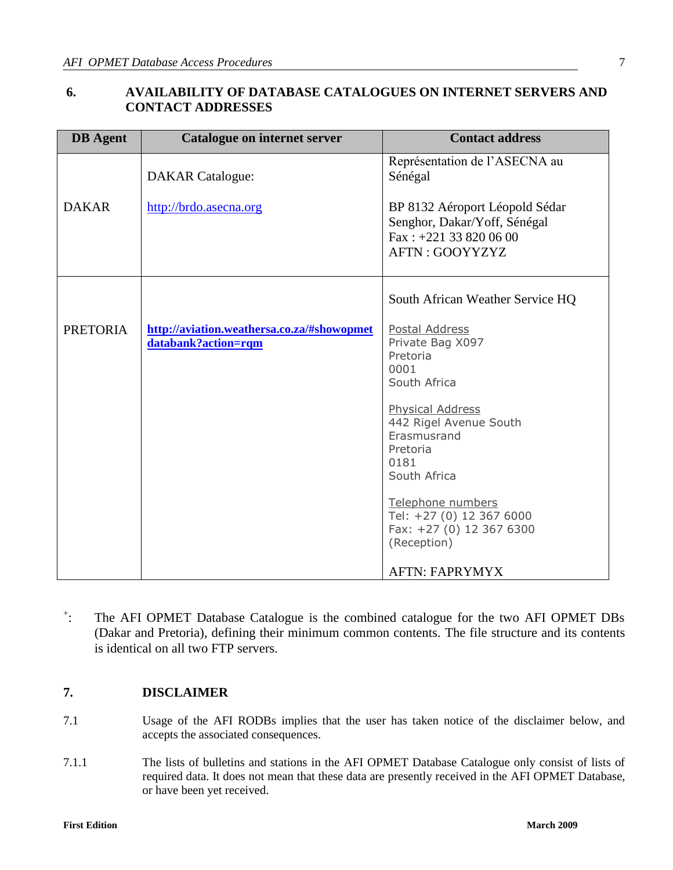# <span id="page-10-0"></span>**6. AVAILABILITY OF DATABASE CATALOGUES ON INTERNET SERVERS AND CONTACT ADDRESSES**

| <b>DB</b> Agent | Catalogue on internet server                                      | <b>Contact address</b>                                                                               |
|-----------------|-------------------------------------------------------------------|------------------------------------------------------------------------------------------------------|
| <b>DAKAR</b>    | <b>DAKAR</b> Catalogue:<br>http://brdo.asecna.org                 | Représentation de l'ASECNA au<br>Sénégal<br>BP 8132 Aéroport Léopold Sédar                           |
|                 |                                                                   | Senghor, Dakar/Yoff, Sénégal<br>Fax: $+221$ 33 820 06 00<br>AFTN: GOOYYZYZ                           |
|                 |                                                                   | South African Weather Service HQ                                                                     |
| <b>PRETORIA</b> | http://aviation.weathersa.co.za/#showopmet<br>databank?action=rqm | Postal Address<br>Private Bag X097<br>Pretoria<br>0001<br>South Africa                               |
|                 |                                                                   | <b>Physical Address</b><br>442 Rigel Avenue South<br>Erasmusrand<br>Pretoria<br>0181<br>South Africa |
|                 |                                                                   | Telephone numbers<br>Tel: +27 (0) 12 367 6000<br>Fax: +27 (0) 12 367 6300<br>(Reception)             |
|                 |                                                                   | <b>AFTN: FAPRYMYX</b>                                                                                |

 $+$ . : The AFI OPMET Database Catalogue is the combined catalogue for the two AFI OPMET DBs (Dakar and Pretoria), defining their minimum common contents. The file structure and its contents is identical on all two FTP servers.

# <span id="page-10-1"></span>**7. DISCLAIMER**

- 7.1 Usage of the AFI RODBs implies that the user has taken notice of the disclaimer below, and accepts the associated consequences.
- 7.1.1 The lists of bulletins and stations in the AFI OPMET Database Catalogue only consist of lists of required data. It does not mean that these data are presently received in the AFI OPMET Database, or have been yet received.